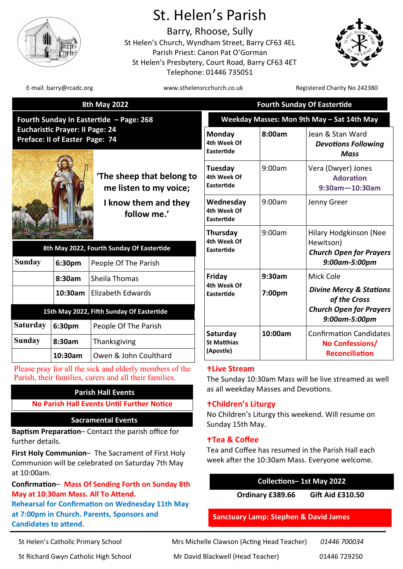

# St. Helen's Parish

Barry, Rhoose, Sully St Helen's Church, Wyndham Street, Barry CF63 4EL Parish Priest: Canon Pat O'Gorman St Helen's Presbytery, Court Road, Barry CF63 4ET Telephone: 01446 735051



E-mail: barry@rcadc.org www.sthelensrcchurch.co.uk Registered Charity No 242380

| <b>8th May 2022</b>                                                                                                 |         |                                                     | <b>Fourth Sunday Of Eastertide</b>          |                                                                                        |                                                                 |
|---------------------------------------------------------------------------------------------------------------------|---------|-----------------------------------------------------|---------------------------------------------|----------------------------------------------------------------------------------------|-----------------------------------------------------------------|
| Fourth Sunday In Eastertide - Page: 268<br><b>Eucharistic Prayer: II Page: 24</b><br>Preface: II of Easter Page: 74 |         | Weekday Masses: Mon 9th May - Sat 14th May          |                                             |                                                                                        |                                                                 |
|                                                                                                                     |         | 'The sheep that belong to<br>me listen to my voice; | Monday<br>4th Week Of<br>Eastertide         | 8:00am                                                                                 | Jean & Stan Ward<br><b>Devotions Following</b><br><b>Mass</b>   |
|                                                                                                                     |         |                                                     | Tuesday<br>4th Week Of<br><b>Eastertide</b> | 9:00am                                                                                 | Vera (Dwyer) Jones<br><b>Adoration</b><br>$9:30$ am $-10:30$ am |
|                                                                                                                     |         | I know them and they<br>follow me.'                 | Wednesday<br>4th Week Of<br>Eastertide      | 9:00am                                                                                 | Jenny Greer                                                     |
| 8th May 2022, Fourth Sunday Of Eastertide<br><b>Sunday</b><br>6:30pm<br>People Of The Parish                        |         | Thursday<br>4th Week Of<br>Eastertide               | 9:00am                                      | Hilary Hodgkinson (Nee<br>Hewitson)<br><b>Church Open for Prayers</b><br>9:00am-5:00pm |                                                                 |
|                                                                                                                     | 8:30am  | Sheila Thomas                                       | Friday<br>4th Week Of<br>Eastertide         | 9:30am                                                                                 | Mick Cole                                                       |
|                                                                                                                     | 10:30am | <b>Elizabeth Edwards</b>                            |                                             | 7:00pm                                                                                 | <b>Divine Mercy &amp; Stations</b><br>of the Cross              |
|                                                                                                                     |         | 15th May 2022, Fifth Sunday Of Eastertide           |                                             |                                                                                        | <b>Church Open for Prayers</b>                                  |
| <b>Saturday</b>                                                                                                     | 6:30pm  | People Of The Parish                                |                                             |                                                                                        | 9:00am-5:00pm                                                   |
| <b>Sunday</b>                                                                                                       | 8:30am  | Thanksgiving                                        | Saturday<br><b>St Matthias</b><br>(Apostle) | 10:00am                                                                                | <b>Confirmation Candidates</b><br>No Confessions/               |
|                                                                                                                     | 10:30am | Owen & John Coulthard                               |                                             |                                                                                        | <b>Reconciliation</b>                                           |

Please pray for all the sick and elderly members of the Parish, their families, carers and all their families.

# **Parish Hall Events**

## **No Parish Hall Events Until Further Notice**

## **Sacramental Events**

**Baptism Preparation**– Contact the parish office for further details.

**First Holy Communion**– The Sacrament of First Holy Communion will be celebrated on Saturday 7th May at 10:00am.

**Confirmation**– **Mass Of Sending Forth on Sunday 8th May at 10:30am Mass. All To Attend. Rehearsal for Confirmation on Wednesday 11th May at 7:00pm in Church. Parents, Sponsors and Candidates to attend.** 

**Live Stream**

The Sunday 10:30am Mass will be live streamed as well as all weekday Masses and Devotions.

# **Children's Liturgy**

No Children's Liturgy this weekend. Will resume on Sunday 15th May.

# **Tea & Coffee**

Tea and Coffee has resumed in the Parish Hall each week after the 10:30am Mass. Everyone welcome.

**Collections– 1st May 2022**

**Ordinary £389.66 Gift Aid £310.50**

# **Sanctuary Lamp: Stephen & David James**

St Helen's Catholic Primary School Mrs Michelle Clawson (Acting Head Teacher) *01446 700034*

St Richard Gwyn Catholic High School Mr David Blackwell (Head Teacher) 01446 729250